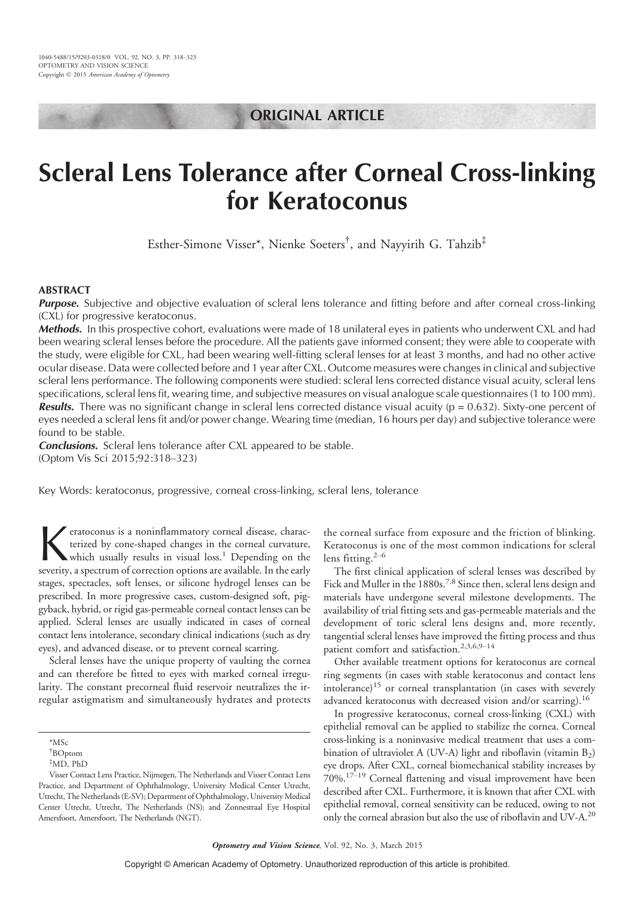# ORIGINAL ARTICLE

# Scleral Lens Tolerance after Corneal Cross-linking for Keratoconus

Esther-Simone Visser\*, Nienke Soeters† , and Nayyirih G. Tahzib‡

# ABSTRACT

Purpose. Subjective and objective evaluation of scleral lens tolerance and fitting before and after corneal cross-linking (CXL) for progressive keratoconus.

Methods. In this prospective cohort, evaluations were made of 18 unilateral eyes in patients who underwent CXL and had been wearing scleral lenses before the procedure. All the patients gave informed consent; they were able to cooperate with the study, were eligible for CXL, had been wearing well-fitting scleral lenses for at least 3 months, and had no other active ocular disease. Data were collected before and 1 year after CXL. Outcome measures were changes in clinical and subjective scleral lens performance. The following components were studied: scleral lens corrected distance visual acuity, scleral lens specifications, scleral lens fit, wearing time, and subjective measures on visual analogue scale questionnaires (1 to 100 mm). **Results.** There was no significant change in scleral lens corrected distance visual acuity ( $p = 0.632$ ). Sixty-one percent of eyes needed a scleral lens fit and/or power change. Wearing time (median, 16 hours per day) and subjective tolerance were found to be stable.

**Conclusions.** Scleral lens tolerance after CXL appeared to be stable. (Optom Vis Sci 2015;92:318-323)

Key Words: keratoconus, progressive, corneal cross-linking, scleral lens, tolerance

**K** eratoconus is a noninflammatory corneal disease, characterized by cone-shaped changes in the corneal curvature, which usually results in visual loss.<sup>1</sup> Depending on the severity, a spectrum of correction options are a eratoconus is a noninflammatory corneal disease, characterized by cone-shaped changes in the corneal curvature, which usually results in visual loss.<sup>1</sup> Depending on the stages, spectacles, soft lenses, or silicone hydrogel lenses can be prescribed. In more progressive cases, custom-designed soft, piggyback, hybrid, or rigid gas-permeable corneal contact lenses can be applied. Scleral lenses are usually indicated in cases of corneal contact lens intolerance, secondary clinical indications (such as dry eyes), and advanced disease, or to prevent corneal scarring.

Scleral lenses have the unique property of vaulting the cornea and can therefore be fitted to eyes with marked corneal irregularity. The constant precorneal fluid reservoir neutralizes the irregular astigmatism and simultaneously hydrates and protects

the corneal surface from exposure and the friction of blinking. Keratoconus is one of the most common indications for scleral lens fitting. $2-6$ 

The first clinical application of scleral lenses was described by Fick and Muller in the 1880s.<sup>7,8</sup> Since then, scleral lens design and materials have undergone several milestone developments. The availability of trial fitting sets and gas-permeable materials and the development of toric scleral lens designs and, more recently, tangential scleral lenses have improved the fitting process and thus patient comfort and satisfaction.<sup>2,3,6,9-14</sup>

Other available treatment options for keratoconus are corneal ring segments (in cases with stable keratoconus and contact lens intolerance)<sup>15</sup> or corneal transplantation (in cases with severely advanced keratoconus with decreased vision and/or scarring).<sup>16</sup>

In progressive keratoconus, corneal cross-linking (CXL) with epithelial removal can be applied to stabilize the cornea. Corneal cross-linking is a noninvasive medical treatment that uses a combination of ultraviolet A (UV-A) light and riboflavin (vitamin  $B_2$ ) eye drops. After CXL, corneal biomechanical stability increases by  $70\%$ .<sup>17-19</sup> Corneal flattening and visual improvement have been described after CXL. Furthermore, it is known that after CXL with epithelial removal, corneal sensitivity can be reduced, owing to not only the corneal abrasion but also the use of riboflavin and UV-A.<sup>20</sup>

<sup>\*</sup>MSc

<sup>†</sup> BOptom

<sup>‡</sup>MD, PhD

Visser Contact Lens Practice, Nijmegen, The Netherlands and Visser Contact Lens Practice, and Department of Ophthalmology, University Medical Center Utrecht, Utrecht, The Netherlands (E-SV); Department of Ophthalmology, University Medical Center Utrecht, Utrecht, The Netherlands (NS); and Zonnestraal Eye Hospital Amersfoort, Amersfoort, The Netherlands (NGT).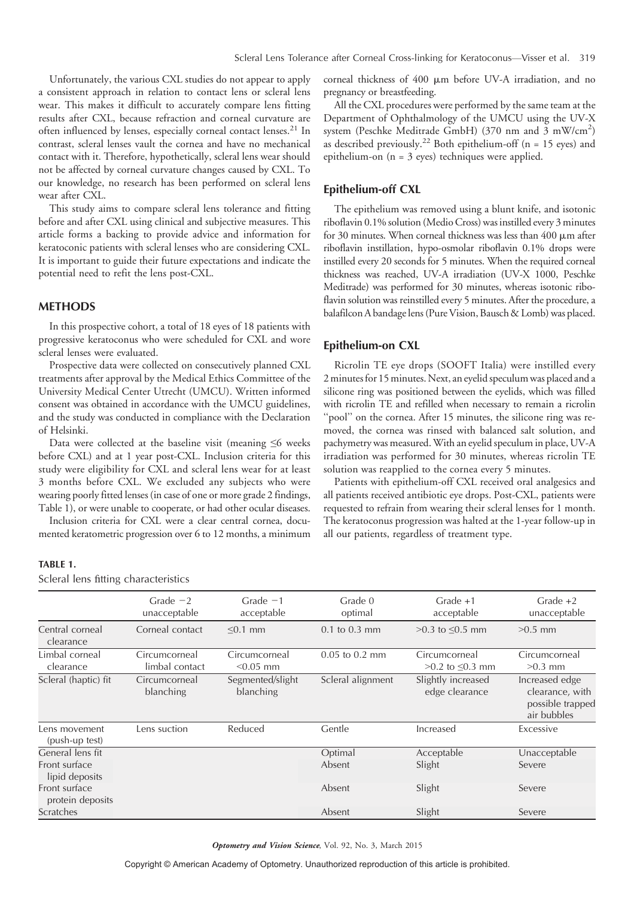Unfortunately, the various CXL studies do not appear to apply a consistent approach in relation to contact lens or scleral lens wear. This makes it difficult to accurately compare lens fitting results after CXL, because refraction and corneal curvature are often influenced by lenses, especially corneal contact lenses.<sup>21</sup> In contrast, scleral lenses vault the cornea and have no mechanical contact with it. Therefore, hypothetically, scleral lens wear should not be affected by corneal curvature changes caused by CXL. To our knowledge, no research has been performed on scleral lens wear after CXL.

This study aims to compare scleral lens tolerance and fitting before and after CXL using clinical and subjective measures. This article forms a backing to provide advice and information for keratoconic patients with scleral lenses who are considering CXL. It is important to guide their future expectations and indicate the potential need to refit the lens post-CXL.

#### METHODS

In this prospective cohort, a total of 18 eyes of 18 patients with progressive keratoconus who were scheduled for CXL and wore scleral lenses were evaluated.

Prospective data were collected on consecutively planned CXL treatments after approval by the Medical Ethics Committee of the University Medical Center Utrecht (UMCU). Written informed consent was obtained in accordance with the UMCU guidelines, and the study was conducted in compliance with the Declaration of Helsinki.

Data were collected at the baseline visit (meaning  $\leq 6$  weeks before CXL) and at 1 year post-CXL. Inclusion criteria for this study were eligibility for CXL and scleral lens wear for at least 3 months before CXL. We excluded any subjects who were wearing poorly fitted lenses (in case of one or more grade 2 findings, Table 1), or were unable to cooperate, or had other ocular diseases.

Inclusion criteria for CXL were a clear central cornea, documented keratometric progression over 6 to 12 months, a minimum

#### TABLE 1.

Scleral lens fitting characteristics

corneal thickness of  $400 \mu m$  before UV-A irradiation, and no pregnancy or breastfeeding.

All the CXL procedures were performed by the same team at the Department of Ophthalmology of the UMCU using the UV-X system (Peschke Meditrade GmbH) (370 nm and 3 mW/cm<sup>2</sup>) as described previously.<sup>22</sup> Both epithelium-off ( $n = 15$  eyes) and epithelium-on (n = 3 eyes) techniques were applied.

#### Epithelium-off CXL

The epithelium was removed using a blunt knife, and isotonic riboflavin 0.1% solution (Medio Cross) was instilled every 3 minutes for 30 minutes. When corneal thickness was less than  $400 \mu m$  after riboflavin instillation, hypo-osmolar riboflavin 0.1% drops were instilled every 20 seconds for 5 minutes. When the required corneal thickness was reached, UV-A irradiation (UV-X 1000, Peschke Meditrade) was performed for 30 minutes, whereas isotonic riboflavin solution was reinstilled every 5 minutes. After the procedure, a balafilcon A bandage lens (Pure Vision, Bausch& Lomb) was placed.

#### Epithelium-on CXL

Ricrolin TE eye drops (SOOFT Italia) were instilled every 2 minutes for 15 minutes. Next, an eyelid speculum was placed and a silicone ring was positioned between the eyelids, which was filled with ricrolin TE and refilled when necessary to remain a ricrolin "pool" on the cornea. After 15 minutes, the silicone ring was removed, the cornea was rinsed with balanced salt solution, and pachymetry was measured.With an eyelid speculum in place, UV-A irradiation was performed for 30 minutes, whereas ricrolin TE solution was reapplied to the cornea every 5 minutes.

Patients with epithelium-off CXL received oral analgesics and all patients received antibiotic eye drops. Post-CXL, patients were requested to refrain from wearing their scleral lenses for 1 month. The keratoconus progression was halted at the 1-year follow-up in all our patients, regardless of treatment type.

|                                   | Grade $-2$<br>unacceptable      | Grade $-1$<br>acceptable      | Grade 0<br>optimal | $Grade +1$<br>acceptable             | Grade $+2$<br>unacceptable                                           |
|-----------------------------------|---------------------------------|-------------------------------|--------------------|--------------------------------------|----------------------------------------------------------------------|
| Central corneal<br>clearance      | Corneal contact                 | $< 0.1$ mm                    | $0.1$ to $0.3$ mm  | $>0.3$ to $\leq 0.5$ mm              | $>0.5$ mm                                                            |
| Limbal corneal<br>clearance       | Circumcorneal<br>limbal contact | Circumcorneal<br>$< 0.05$ mm  | $0.05$ to $0.2$ mm | Circumcorneal<br>>0.2 to ≤0.3 mm     | Circumcorneal<br>$>0.3$ mm                                           |
| Scleral (haptic) fit              | Circumcorneal<br>blanching      | Segmented/slight<br>blanching | Scleral alignment  | Slightly increased<br>edge clearance | Increased edge<br>clearance, with<br>possible trapped<br>air bubbles |
| Lens movement<br>(push-up test)   | Lens suction                    | Reduced                       | Gentle             | Increased                            | Excessive                                                            |
| General lens fit                  |                                 |                               | Optimal            | Acceptable                           | Unacceptable                                                         |
| Front surface<br>lipid deposits   |                                 |                               | Absent             | Slight                               | Severe                                                               |
| Front surface<br>protein deposits |                                 |                               | Absent             | Slight                               | Severe                                                               |
| Scratches                         |                                 |                               | Absent             | Slight                               | Severe                                                               |

Optometry and Vision Science, Vol. 92, No. 3, March 2015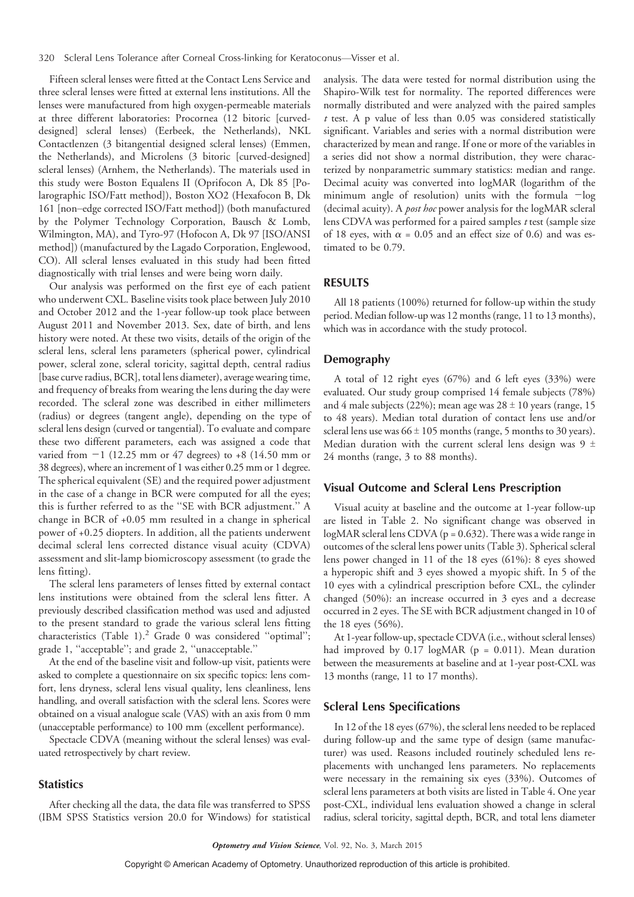320 Scleral Lens Tolerance after Corneal Cross-linking for Keratoconus-Visser et al.

Fifteen scleral lenses were fitted at the Contact Lens Service and three scleral lenses were fitted at external lens institutions. All the lenses were manufactured from high oxygen-permeable materials at three different laboratories: Procornea (12 bitoric [curveddesigned] scleral lenses) (Eerbeek, the Netherlands), NKL Contactlenzen (3 bitangential designed scleral lenses) (Emmen, the Netherlands), and Microlens (3 bitoric [curved-designed] scleral lenses) (Arnhem, the Netherlands). The materials used in this study were Boston Equalens II (Oprifocon A, Dk 85 [Polarographic ISO/Fatt method]), Boston XO2 (Hexafocon B, Dk 161 [non-edge corrected ISO/Fatt method]) (both manufactured by the Polymer Technology Corporation, Bausch & Lomb, Wilmington, MA), and Tyro-97 (Hofocon A, Dk 97 [ISO/ANSI method]) (manufactured by the Lagado Corporation, Englewood, CO). All scleral lenses evaluated in this study had been fitted diagnostically with trial lenses and were being worn daily.

Our analysis was performed on the first eye of each patient who underwent CXL. Baseline visits took place between July 2010 and October 2012 and the 1-year follow-up took place between August 2011 and November 2013. Sex, date of birth, and lens history were noted. At these two visits, details of the origin of the scleral lens, scleral lens parameters (spherical power, cylindrical power, scleral zone, scleral toricity, sagittal depth, central radius [base curve radius, BCR], total lens diameter), average wearing time, and frequency of breaks from wearing the lens during the day were recorded. The scleral zone was described in either millimeters (radius) or degrees (tangent angle), depending on the type of scleral lens design (curved or tangential). To evaluate and compare these two different parameters, each was assigned a code that varied from  $-1$  (12.25 mm or 47 degrees) to +8 (14.50 mm or 38 degrees), where an increment of 1 was either 0.25 mm or 1 degree. The spherical equivalent (SE) and the required power adjustment in the case of a change in BCR were computed for all the eyes; this is further referred to as the ''SE with BCR adjustment.'' A change in BCR of +0.05 mm resulted in a change in spherical power of +0.25 diopters. In addition, all the patients underwent decimal scleral lens corrected distance visual acuity (CDVA) assessment and slit-lamp biomicroscopy assessment (to grade the lens fitting).

The scleral lens parameters of lenses fitted by external contact lens institutions were obtained from the scleral lens fitter. A previously described classification method was used and adjusted to the present standard to grade the various scleral lens fitting characteristics (Table 1).<sup>2</sup> Grade 0 was considered ''optimal''; grade 1, ''acceptable''; and grade 2, ''unacceptable.''

At the end of the baseline visit and follow-up visit, patients were asked to complete a questionnaire on six specific topics: lens comfort, lens dryness, scleral lens visual quality, lens cleanliness, lens handling, and overall satisfaction with the scleral lens. Scores were obtained on a visual analogue scale (VAS) with an axis from 0 mm (unacceptable performance) to 100 mm (excellent performance).

Spectacle CDVA (meaning without the scleral lenses) was evaluated retrospectively by chart review.

# **Statistics**

After checking all the data, the data file was transferred to SPSS (IBM SPSS Statistics version 20.0 for Windows) for statistical analysis. The data were tested for normal distribution using the Shapiro-Wilk test for normality. The reported differences were normally distributed and were analyzed with the paired samples  $t$  test. A p value of less than 0.05 was considered statistically significant. Variables and series with a normal distribution were characterized by mean and range. If one or more of the variables in a series did not show a normal distribution, they were characterized by nonparametric summary statistics: median and range. Decimal acuity was converted into logMAR (logarithm of the minimum angle of resolution) units with the formula  $-\log$ (decimal acuity). A post hoc power analysis for the logMAR scleral lens CDVA was performed for a paired samples t test (sample size of 18 eyes, with  $\alpha = 0.05$  and an effect size of 0.6) and was estimated to be 0.79.

#### RESULTS

All 18 patients (100%) returned for follow-up within the study period. Median follow-up was 12 months (range, 11 to 13 months), which was in accordance with the study protocol.

# Demography

A total of 12 right eyes (67%) and 6 left eyes (33%) were evaluated. Our study group comprised 14 female subjects (78%) and 4 male subjects (22%); mean age was  $28 \pm 10$  years (range, 15 to 48 years). Median total duration of contact lens use and/or scleral lens use was  $66 \pm 105$  months (range, 5 months to 30 years). Median duration with the current scleral lens design was 9  $\pm$ 24 months (range, 3 to 88 months).

# Visual Outcome and Scleral Lens Prescription

Visual acuity at baseline and the outcome at 1-year follow-up are listed in Table 2. No significant change was observed in logMAR scleral lens CDVA ( $p = 0.632$ ). There was a wide range in outcomes of the scleral lens power units (Table 3). Spherical scleral lens power changed in 11 of the 18 eyes (61%): 8 eyes showed a hyperopic shift and 3 eyes showed a myopic shift. In 5 of the 10 eyes with a cylindrical prescription before CXL, the cylinder changed (50%): an increase occurred in 3 eyes and a decrease occurred in 2 eyes. The SE with BCR adjustment changed in 10 of the 18 eyes (56%).

At 1-year follow-up, spectacle CDVA (i.e., without scleral lenses) had improved by  $0.17 \log \text{MAR}$  (p = 0.011). Mean duration between the measurements at baseline and at 1-year post-CXL was 13 months (range, 11 to 17 months).

#### Scleral Lens Specifications

In 12 of the 18 eyes (67%), the scleral lens needed to be replaced during follow-up and the same type of design (same manufacturer) was used. Reasons included routinely scheduled lens replacements with unchanged lens parameters. No replacements were necessary in the remaining six eyes (33%). Outcomes of scleral lens parameters at both visits are listed in Table 4. One year post-CXL, individual lens evaluation showed a change in scleral radius, scleral toricity, sagittal depth, BCR, and total lens diameter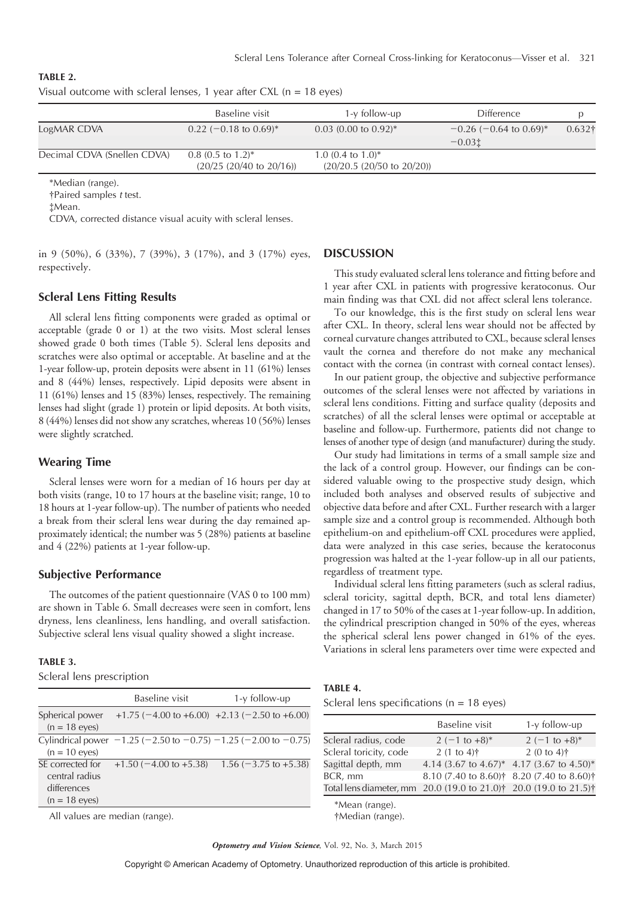|                             | Baseline visit                                              | $1-y$ follow-up                                             | <b>Difference</b>                    |                |
|-----------------------------|-------------------------------------------------------------|-------------------------------------------------------------|--------------------------------------|----------------|
| LogMAR CDVA                 | $0.22$ (-0.18 to 0.69) <sup>*</sup>                         | $0.03$ (0.00 to 0.92) <sup>*</sup>                          | $-0.26$ (-0.64 to 0.69) <sup>*</sup> | $0.632\dagger$ |
|                             |                                                             |                                                             | $-0.03t$                             |                |
| Decimal CDVA (Snellen CDVA) | $0.8$ (0.5 to 1.2) <sup>*</sup><br>(20/25 (20/40 to 20/16)) | 1.0 $(0.4 \text{ to } 1.0)^*$<br>(20/20.5 (20/50 to 20/20)) |                                      |                |
|                             |                                                             |                                                             |                                      |                |

# TABLE 2. Visual outcome with scleral lenses, 1 year after  $CXL$  (n = 18 eyes)

\*Median (range).

†Paired samples t test.

‡Mean.

CDVA, corrected distance visual acuity with scleral lenses.

in 9 (50%), 6 (33%), 7 (39%), 3 (17%), and 3 (17%) eyes, respectively.

# Scleral Lens Fitting Results

All scleral lens fitting components were graded as optimal or acceptable (grade 0 or 1) at the two visits. Most scleral lenses showed grade 0 both times (Table 5). Scleral lens deposits and scratches were also optimal or acceptable. At baseline and at the 1-year follow-up, protein deposits were absent in 11 (61%) lenses and 8 (44%) lenses, respectively. Lipid deposits were absent in 11 (61%) lenses and 15 (83%) lenses, respectively. The remaining lenses had slight (grade 1) protein or lipid deposits. At both visits, 8 (44%) lenses did not show any scratches, whereas 10 (56%) lenses were slightly scratched.

# Wearing Time

Scleral lenses were worn for a median of 16 hours per day at both visits (range, 10 to 17 hours at the baseline visit; range, 10 to 18 hours at 1-year follow-up). The number of patients who needed a break from their scleral lens wear during the day remained approximately identical; the number was 5 (28%) patients at baseline and 4 (22%) patients at 1-year follow-up.

#### Subjective Performance

The outcomes of the patient questionnaire (VAS 0 to 100 mm) are shown in Table 6. Small decreases were seen in comfort, lens dryness, lens cleanliness, lens handling, and overall satisfaction. Subjective scleral lens visual quality showed a slight increase.

#### TABLE 3.

Scleral lens prescription

| <b>DISCUSSION</b> |  |
|-------------------|--|
|-------------------|--|

This study evaluated scleral lens tolerance and fitting before and 1 year after CXL in patients with progressive keratoconus. Our main finding was that CXL did not affect scleral lens tolerance.

To our knowledge, this is the first study on scleral lens wear after CXL. In theory, scleral lens wear should not be affected by corneal curvature changes attributed to CXL, because scleral lenses vault the cornea and therefore do not make any mechanical contact with the cornea (in contrast with corneal contact lenses).

In our patient group, the objective and subjective performance outcomes of the scleral lenses were not affected by variations in scleral lens conditions. Fitting and surface quality (deposits and scratches) of all the scleral lenses were optimal or acceptable at baseline and follow-up. Furthermore, patients did not change to lenses of another type of design (and manufacturer) during the study.

Our study had limitations in terms of a small sample size and the lack of a control group. However, our findings can be considered valuable owing to the prospective study design, which included both analyses and observed results of subjective and objective data before and after CXL. Further research with a larger sample size and a control group is recommended. Although both epithelium-on and epithelium-off CXL procedures were applied, data were analyzed in this case series, because the keratoconus progression was halted at the 1-year follow-up in all our patients, regardless of treatment type.

Individual scleral lens fitting parameters (such as scleral radius, scleral toricity, sagittal depth, BCR, and total lens diameter) changed in 17 to 50% of the cases at 1-year follow-up. In addition, the cylindrical prescription changed in 50% of the eyes, whereas the spherical scleral lens power changed in 61% of the eyes. Variations in scleral lens parameters over time were expected and

|                                                                      | Baseline visit                                                                  | 1-y follow-up                                   |
|----------------------------------------------------------------------|---------------------------------------------------------------------------------|-------------------------------------------------|
| Spherical power<br>$(n = 18 \text{ eyes})$                           |                                                                                 | $+1.75$ (-4.00 to +6.00) +2.13 (-2.50 to +6.00) |
| $(n = 10$ eyes)                                                      | Cylindrical power $-1.25$ ( $-2.50$ to $-0.75$ ) $-1.25$ ( $-2.00$ to $-0.75$ ) |                                                 |
| SE corrected for<br>central radius<br>differences<br>$(n = 18$ eyes) | $+1.50$ (-4.00 to +5.38)                                                        | $1.56$ ( $-3.75$ to $+5.38$ )                   |
|                                                                      |                                                                                 |                                                 |

All values are median (range).

TABLE 4.

Scleral lens specifications ( $n = 18$  eyes)

|                                                                                           | Baseline visit                            | $1-y$ follow-up |
|-------------------------------------------------------------------------------------------|-------------------------------------------|-----------------|
| Scleral radius, code                                                                      | $2(-1 to +8)^*$                           | $2(-1 to +8)^*$ |
| Scleral toricity, code                                                                    | $2(1 \text{ to } 4)$ †                    | $2(0 to 4)$ †   |
| Sagittal depth, mm                                                                        | 4.14 (3.67 to 4.67)* 4.17 (3.67 to 4.50)* |                 |
| BCR, mm                                                                                   | 8.10 (7.40 to 8.60)† 8.20 (7.40 to 8.60)† |                 |
| Total lens diameter, mm 20.0 (19.0 to 21.0) <sup>†</sup> 20.0 (19.0 to 21.5) <sup>†</sup> |                                           |                 |
| $*h$ $l$                                                                                  |                                           |                 |

\*Mean (range).

†Median (range).

Optometry and Vision Science, Vol. 92, No. 3, March 2015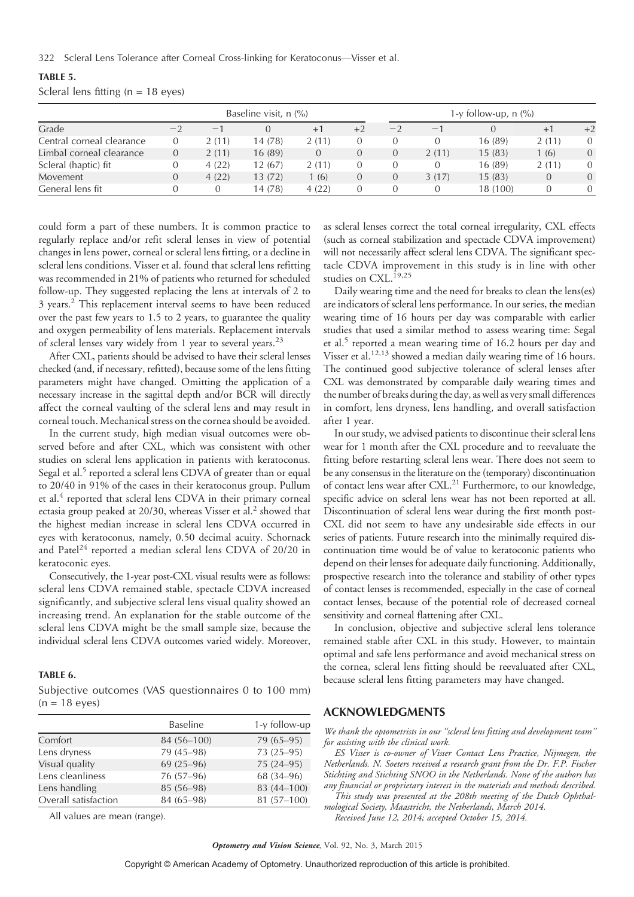322 Scleral Lens Tolerance after Corneal Cross-linking for Keratoconus—Visser et al.

| TABLE 5.                              |  |  |  |
|---------------------------------------|--|--|--|
| Scleral lens fitting ( $n = 18$ eyes) |  |  |  |

|                           |                |       | Baseline visit, $n$ $\frac{9}{6}$ |                  |                  |      |                                 | 1-y follow-up, $n$ (%) |                |                |
|---------------------------|----------------|-------|-----------------------------------|------------------|------------------|------|---------------------------------|------------------------|----------------|----------------|
| Grade                     | $-2$           | $-$   |                                   | $+1$             | $+2$             | $-2$ | $\hspace{0.1mm}-\hspace{0.1mm}$ |                        | $+1$           | $+2$           |
| Central corneal clearance | $\overline{0}$ | 2(11) | 14 (78)                           | 2(11)            |                  |      |                                 | 16 (89)                | 2(11)          | $\Omega$       |
| Limbal corneal clearance  | $\overline{0}$ | 2(11) | 16(89)                            | $\left( \right)$ | $\left( \right)$ | 0    | 2(11)                           | 15(83)                 | 1 (6)          | $\overline{0}$ |
| Scleral (haptic) fit      | 0              | 4(22) | 12 (67)                           | 2(11)            |                  | 0    |                                 | 16(89)                 | 2(11)          | $\Omega$       |
| Movement                  | $\overline{0}$ | 4(22) | 13 (72)                           | (6)              |                  | 0    | 3(17)                           | 15(83)                 | $\overline{0}$ | $\Omega$       |
| General lens fit          |                |       | 14 (78)                           | 4(22)            |                  |      |                                 | 18 (100)               |                | $\Omega$       |

could form a part of these numbers. It is common practice to regularly replace and/or refit scleral lenses in view of potential changes in lens power, corneal or scleral lens fitting, or a decline in scleral lens conditions. Visser et al. found that scleral lens refitting was recommended in 21% of patients who returned for scheduled follow-up. They suggested replacing the lens at intervals of 2 to 3 years.<sup>2</sup> This replacement interval seems to have been reduced over the past few years to 1.5 to 2 years, to guarantee the quality and oxygen permeability of lens materials. Replacement intervals of scleral lenses vary widely from 1 year to several years.<sup>23</sup>

After CXL, patients should be advised to have their scleral lenses checked (and, if necessary, refitted), because some of the lens fitting parameters might have changed. Omitting the application of a necessary increase in the sagittal depth and/or BCR will directly affect the corneal vaulting of the scleral lens and may result in corneal touch. Mechanical stress on the cornea should be avoided.

In the current study, high median visual outcomes were observed before and after CXL, which was consistent with other studies on scleral lens application in patients with keratoconus. Segal et al.<sup>5</sup> reported a scleral lens CDVA of greater than or equal to 20/40 in 91% of the cases in their keratoconus group. Pullum et al.<sup>4</sup> reported that scleral lens CDVA in their primary corneal ectasia group peaked at 20/30, whereas Visser et al.<sup>2</sup> showed that the highest median increase in scleral lens CDVA occurred in eyes with keratoconus, namely, 0.50 decimal acuity. Schornack and Patel<sup>24</sup> reported a median scleral lens CDVA of 20/20 in keratoconic eyes.

Consecutively, the 1-year post-CXL visual results were as follows: scleral lens CDVA remained stable, spectacle CDVA increased significantly, and subjective scleral lens visual quality showed an increasing trend. An explanation for the stable outcome of the scleral lens CDVA might be the small sample size, because the individual scleral lens CDVA outcomes varied widely. Moreover,

#### TABLE 6.

Subjective outcomes (VAS questionnaires 0 to 100 mm)  $(n = 18 \text{ eyes})$ 

|                      | <b>Baseline</b> | 1-y follow-up |
|----------------------|-----------------|---------------|
| Comfort              | 84 (56-100)     | 79 (65-95)    |
| Lens dryness         | 79 (45-98)      | $73(25-95)$   |
| Visual quality       | $69(25-96)$     | $75(24 - 95)$ |
| Lens cleanliness     | 76 (57-96)      | 68 (34-96)    |
| Lens handling        | 85 (56-98)      | 83 (44-100)   |
| Overall satisfaction | 84 (65-98)      | 81 (57-100)   |

All values are mean (range).

as scleral lenses correct the total corneal irregularity, CXL effects (such as corneal stabilization and spectacle CDVA improvement) will not necessarily affect scleral lens CDVA. The significant spectacle CDVA improvement in this study is in line with other studies on CXL.<sup>19,25</sup>

Daily wearing time and the need for breaks to clean the lens(es) are indicators of scleral lens performance. In our series, the median wearing time of 16 hours per day was comparable with earlier studies that used a similar method to assess wearing time: Segal et al.<sup>5</sup> reported a mean wearing time of 16.2 hours per day and Visser et al.12,13 showed a median daily wearing time of 16 hours. The continued good subjective tolerance of scleral lenses after CXL was demonstrated by comparable daily wearing times and the number of breaks during the day, as well as very small differences in comfort, lens dryness, lens handling, and overall satisfaction after 1 year.

In our study, we advised patients to discontinue their scleral lens wear for 1 month after the CXL procedure and to reevaluate the fitting before restarting scleral lens wear. There does not seem to be any consensus in the literature on the (temporary) discontinuation of contact lens wear after CXL.<sup>21</sup> Furthermore, to our knowledge, specific advice on scleral lens wear has not been reported at all. Discontinuation of scleral lens wear during the first month post-CXL did not seem to have any undesirable side effects in our series of patients. Future research into the minimally required discontinuation time would be of value to keratoconic patients who depend on their lenses for adequate daily functioning. Additionally, prospective research into the tolerance and stability of other types of contact lenses is recommended, especially in the case of corneal contact lenses, because of the potential role of decreased corneal sensitivity and corneal flattening after CXL.

In conclusion, objective and subjective scleral lens tolerance remained stable after CXL in this study. However, to maintain optimal and safe lens performance and avoid mechanical stress on the cornea, scleral lens fitting should be reevaluated after CXL, because scleral lens fitting parameters may have changed.

# ACKNOWLEDGMENTS

We thank the optometrists in our ''scleral lens fitting and development team'' for assisting with the clinical work.

ES Visser is co-owner of Visser Contact Lens Practice, Nijmegen, the Netherlands. N. Soeters received a research grant from the Dr. F.P. Fischer Stichting and Stichting SNOO in the Netherlands. None of the authors has any financial or proprietary interest in the materials and methods described.

This study was presented at the 208th meeting of the Dutch Ophthalmological Society, Maastricht, the Netherlands, March 2014. Received June 12, 2014; accepted October 15, 2014.

Optometry and Vision Science, Vol. 92, No. 3, March 2015

Copyright © American Academy of Optometry. Unauthorized reproduction of this article is prohibited.